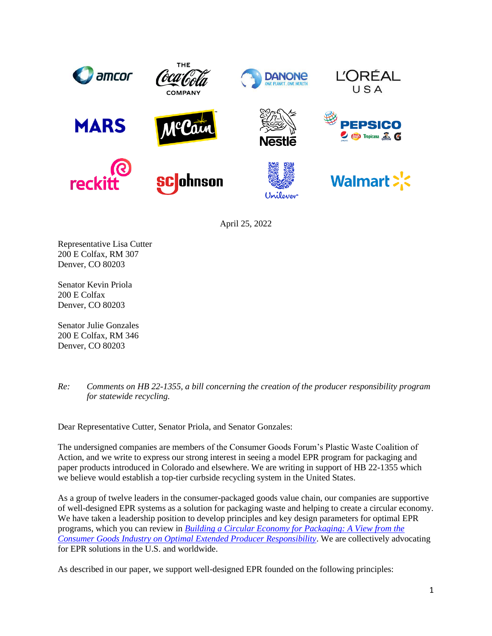

April 25, 2022

Representative Lisa Cutter 200 E Colfax, RM 307 Denver, CO 80203

Senator Kevin Priola 200 E Colfax Denver, CO 80203

Senator Julie Gonzales 200 E Colfax, RM 346 Denver, CO 80203

*Re: Comments on HB 22-1355, a bill concerning the creation of the producer responsibility program for statewide recycling.*

Dear Representative Cutter, Senator Priola, and Senator Gonzales:

The undersigned companies are members of the Consumer Goods Forum's Plastic Waste Coalition of Action, and we write to express our strong interest in seeing a model EPR program for packaging and paper products introduced in Colorado and elsewhere. We are writing in support of HB 22-1355 which we believe would establish a top-tier curbside recycling system in the United States.

As a group of twelve leaders in the consumer-packaged goods value chain, our companies are supportive of well-designed EPR systems as a solution for packaging waste and helping to create a circular economy. We have taken a leadership position to develop principles and key design parameters for optimal EPR programs, which you can review in *[Building a Circular Economy for Packaging: A View from the](https://www.theconsumergoodsforum.com/wp-content/uploads/EPR-Building-a-Circular-Economy-for-Plastic-Packaging-cgf-plastic-waste.pdf)  [Consumer Goods Industry on Optimal Extended Producer Responsibility](https://www.theconsumergoodsforum.com/wp-content/uploads/EPR-Building-a-Circular-Economy-for-Plastic-Packaging-cgf-plastic-waste.pdf)*. We are collectively advocating for EPR solutions in the U.S. and worldwide.

As described in our paper, we support well-designed EPR founded on the following principles: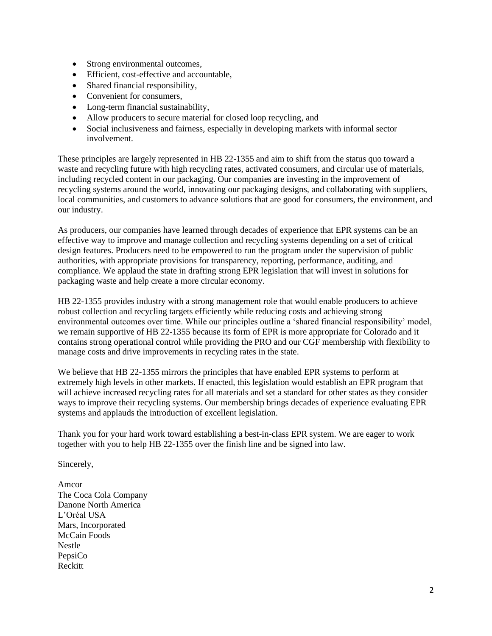- Strong environmental outcomes,
- Efficient, cost-effective and accountable,
- Shared financial responsibility,
- Convenient for consumers,
- Long-term financial sustainability,
- Allow producers to secure material for closed loop recycling, and
- Social inclusiveness and fairness, especially in developing markets with informal sector involvement.

These principles are largely represented in HB 22-1355 and aim to shift from the status quo toward a waste and recycling future with high recycling rates, activated consumers, and circular use of materials, including recycled content in our packaging. Our companies are investing in the improvement of recycling systems around the world, innovating our packaging designs, and collaborating with suppliers, local communities, and customers to advance solutions that are good for consumers, the environment, and our industry.

As producers, our companies have learned through decades of experience that EPR systems can be an effective way to improve and manage collection and recycling systems depending on a set of critical design features. Producers need to be empowered to run the program under the supervision of public authorities, with appropriate provisions for transparency, reporting, performance, auditing, and compliance. We applaud the state in drafting strong EPR legislation that will invest in solutions for packaging waste and help create a more circular economy.

HB 22-1355 provides industry with a strong management role that would enable producers to achieve robust collection and recycling targets efficiently while reducing costs and achieving strong environmental outcomes over time. While our principles outline a 'shared financial responsibility' model, we remain supportive of HB 22-1355 because its form of EPR is more appropriate for Colorado and it contains strong operational control while providing the PRO and our CGF membership with flexibility to manage costs and drive improvements in recycling rates in the state.

We believe that HB 22-1355 mirrors the principles that have enabled EPR systems to perform at extremely high levels in other markets. If enacted, this legislation would establish an EPR program that will achieve increased recycling rates for all materials and set a standard for other states as they consider ways to improve their recycling systems. Our membership brings decades of experience evaluating EPR systems and applauds the introduction of excellent legislation.

Thank you for your hard work toward establishing a best-in-class EPR system. We are eager to work together with you to help HB 22-1355 over the finish line and be signed into law.

Sincerely,

Amcor The Coca Cola Company Danone North America L'Oréal USA Mars, Incorporated McCain Foods Nestle PepsiCo Reckitt